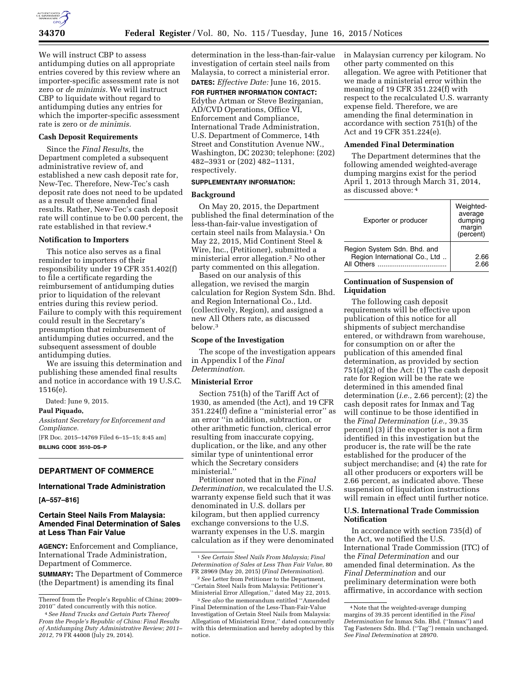

We will instruct CBP to assess antidumping duties on all appropriate entries covered by this review where an importer-specific assessment rate is not zero or *de minimis.* We will instruct CBP to liquidate without regard to antidumping duties any entries for which the importer-specific assessment rate is zero or *de minimis.* 

# **Cash Deposit Requirements**

Since the *Final Results,* the Department completed a subsequent administrative review of, and established a new cash deposit rate for, New-Tec. Therefore, New-Tec's cash deposit rate does not need to be updated as a result of these amended final results. Rather, New-Tec's cash deposit rate will continue to be 0.00 percent, the rate established in that review.4

## **Notification to Importers**

This notice also serves as a final reminder to importers of their responsibility under 19 CFR 351.402(f) to file a certificate regarding the reimbursement of antidumping duties prior to liquidation of the relevant entries during this review period. Failure to comply with this requirement could result in the Secretary's presumption that reimbursement of antidumping duties occurred, and the subsequent assessment of double antidumping duties.

We are issuing this determination and publishing these amended final results and notice in accordance with 19 U.S.C. 1516(e).

Dated: June 9, 2015.

# **Paul Piquado,**

*Assistant Secretary for Enforcement and Compliance.* 

[FR Doc. 2015–14769 Filed 6–15–15; 8:45 am] **BILLING CODE 3510–DS–P** 

## **DEPARTMENT OF COMMERCE**

### **International Trade Administration**

**[A–557–816]** 

# **Certain Steel Nails From Malaysia: Amended Final Determination of Sales at Less Than Fair Value**

**AGENCY:** Enforcement and Compliance, International Trade Administration, Department of Commerce.

**SUMMARY:** The Department of Commerce (the Department) is amending its final

determination in the less-than-fair-value investigation of certain steel nails from Malaysia, to correct a ministerial error. **DATES:** *Effective Date:* June 16, 2015.

**FOR FURTHER INFORMATION CONTACT:**  Edythe Artman or Steve Bezirganian, AD/CVD Operations, Office VI, Enforcement and Compliance, International Trade Administration, U.S. Department of Commerce, 14th Street and Constitution Avenue NW., Washington, DC 20230; telephone: (202) 482–3931 or (202) 482–1131, respectively.

## **SUPPLEMENTARY INFORMATION:**

## **Background**

On May 20, 2015, the Department published the final determination of the less-than-fair-value investigation of certain steel nails from Malaysia.1 On May 22, 2015, Mid Continent Steel & Wire, Inc., (Petitioner), submitted a ministerial error allegation.2 No other party commented on this allegation.

Based on our analysis of this allegation, we revised the margin calculation for Region System Sdn. Bhd. and Region International Co., Ltd. (collectively, Region), and assigned a new All Others rate, as discussed below.3

## **Scope of the Investigation**

The scope of the investigation appears in Appendix I of the *Final Determination.* 

## **Ministerial Error**

Section 751(h) of the Tariff Act of 1930, as amended (the Act), and 19 CFR 351.224(f) define a ''ministerial error'' as an error ''in addition, subtraction, or other arithmetic function, clerical error resulting from inaccurate copying, duplication, or the like, and any other similar type of unintentional error which the Secretary considers ministerial.''

Petitioner noted that in the *Final Determination,* we recalculated the U.S. warranty expense field such that it was denominated in U.S. dollars per kilogram, but then applied currency exchange conversions to the U.S. warranty expenses in the U.S. margin calculation as if they were denominated in Malaysian currency per kilogram. No other party commented on this allegation. We agree with Petitioner that we made a ministerial error within the meaning of 19 CFR 351.224(f) with respect to the recalculated U.S. warranty expense field. Therefore, we are amending the final determination in accordance with section 751(h) of the Act and 19 CFR 351.224(e).

#### **Amended Final Determination**

The Department determines that the following amended weighted-average dumping margins exist for the period April 1, 2013 through March 31, 2014, as discussed above: 4

| Exporter or producer                                                       | Weighted-<br>average<br>dumping<br>margin<br>(percent) |
|----------------------------------------------------------------------------|--------------------------------------------------------|
| Region System Sdn. Bhd. and<br>Region International Co., Ltd<br>All Others | 2.66<br>2.66                                           |

# **Continuation of Suspension of Liquidation**

The following cash deposit requirements will be effective upon publication of this notice for all shipments of subject merchandise entered, or withdrawn from warehouse, for consumption on or after the publication of this amended final determination, as provided by section 751(a)(2) of the Act: (1) The cash deposit rate for Region will be the rate we determined in this amended final determination (*i.e.,* 2.66 percent); (2) the cash deposit rates for Inmax and Tag will continue to be those identified in the *Final Determination* (*i.e.,* 39.35 percent) (3) if the exporter is not a firm identified in this investigation but the producer is, the rate will be the rate established for the producer of the subject merchandise; and (4) the rate for all other producers or exporters will be 2.66 percent, as indicated above. These suspension of liquidation instructions will remain in effect until further notice.

# **U.S. International Trade Commission Notification**

In accordance with section 735(d) of the Act, we notified the U.S. International Trade Commission (ITC) of the *Final Determination* and our amended final determination. As the *Final Determination* and our preliminary determination were both affirmative, in accordance with section

Thereof from the People's Republic of China; 2009– 2010'' dated concurrently with this notice.

<sup>4</sup>*See Hand Trucks and Certain Parts Thereof From the People's Republic of China: Final Results of Antidumping Duty Administrative Review; 2011– 2012,* 79 FR 44008 (July 29, 2014).

<sup>1</sup>*See Certain Steel Nails From Malaysia; Final Determination of Sales at Less Than Fair Value,* 80 FR 28969 (May 20, 2015) (*Final Determination*).

<sup>2</sup>*See* Letter from Petitioner to the Department, ''Certain Steel Nails from Malaysia: Petitioner's Ministerial Error Allegation,'' dated May 22, 2015.

<sup>3</sup>*See also* the memorandum entitled ''Amended Final Determination of the Less-Than-Fair-Value Investigation of Certain Steel Nails from Malaysia: Allegation of Ministerial Error,'' dated concurrently with this determination and hereby adopted by this notice.

<sup>4</sup>Note that the weighted-average dumping margins of 39.35 percent identified in the *Final Determination* for Inmax Sdn. Bhd. (''Inmax'') and Tag Fasteners Sdn. Bhd. (''Tag'') remain unchanged. *See Final Determination* at 28970.